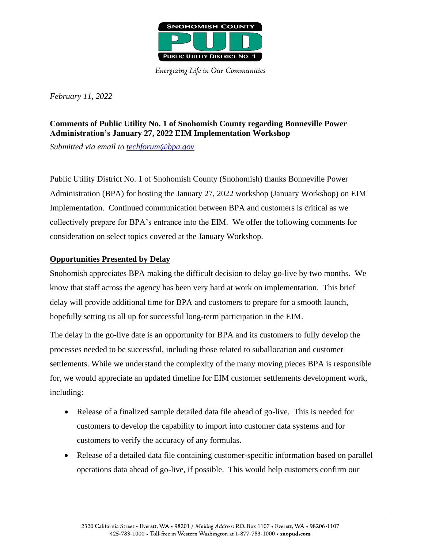

**Energizing Life in Our Communities** 

*February 11, 2022*

## **Comments of Public Utility No. 1 of Snohomish County regarding Bonneville Power Administration's January 27, 2022 EIM Implementation Workshop**

*Submitted via email to [techforum@bpa.gov](mailto:techforum@bpa.gov)*

Public Utility District No. 1 of Snohomish County (Snohomish) thanks Bonneville Power Administration (BPA) for hosting the January 27, 2022 workshop (January Workshop) on EIM Implementation. Continued communication between BPA and customers is critical as we collectively prepare for BPA's entrance into the EIM. We offer the following comments for consideration on select topics covered at the January Workshop.

## **Opportunities Presented by Delay**

Snohomish appreciates BPA making the difficult decision to delay go-live by two months. We know that staff across the agency has been very hard at work on implementation. This brief delay will provide additional time for BPA and customers to prepare for a smooth launch, hopefully setting us all up for successful long-term participation in the EIM.

The delay in the go-live date is an opportunity for BPA and its customers to fully develop the processes needed to be successful, including those related to suballocation and customer settlements. While we understand the complexity of the many moving pieces BPA is responsible for, we would appreciate an updated timeline for EIM customer settlements development work, including:

- Release of a finalized sample detailed data file ahead of go-live. This is needed for customers to develop the capability to import into customer data systems and for customers to verify the accuracy of any formulas.
- Release of a detailed data file containing customer-specific information based on parallel operations data ahead of go-live, if possible. This would help customers confirm our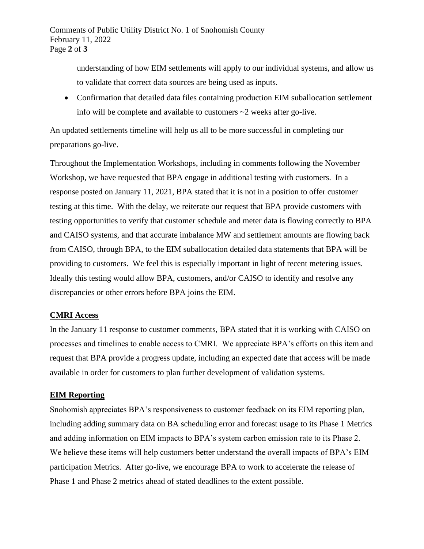understanding of how EIM settlements will apply to our individual systems, and allow us to validate that correct data sources are being used as inputs.

• Confirmation that detailed data files containing production EIM suballocation settlement info will be complete and available to customers ~2 weeks after go-live.

An updated settlements timeline will help us all to be more successful in completing our preparations go-live.

Throughout the Implementation Workshops, including in comments following the November Workshop, we have requested that BPA engage in additional testing with customers. In a response posted on January 11, 2021, BPA stated that it is not in a position to offer customer testing at this time. With the delay, we reiterate our request that BPA provide customers with testing opportunities to verify that customer schedule and meter data is flowing correctly to BPA and CAISO systems, and that accurate imbalance MW and settlement amounts are flowing back from CAISO, through BPA, to the EIM suballocation detailed data statements that BPA will be providing to customers. We feel this is especially important in light of recent metering issues. Ideally this testing would allow BPA, customers, and/or CAISO to identify and resolve any discrepancies or other errors before BPA joins the EIM.

## **CMRI Access**

In the January 11 response to customer comments, BPA stated that it is working with CAISO on processes and timelines to enable access to CMRI. We appreciate BPA's efforts on this item and request that BPA provide a progress update, including an expected date that access will be made available in order for customers to plan further development of validation systems.

## **EIM Reporting**

Snohomish appreciates BPA's responsiveness to customer feedback on its EIM reporting plan, including adding summary data on BA scheduling error and forecast usage to its Phase 1 Metrics and adding information on EIM impacts to BPA's system carbon emission rate to its Phase 2. We believe these items will help customers better understand the overall impacts of BPA's EIM participation Metrics. After go-live, we encourage BPA to work to accelerate the release of Phase 1 and Phase 2 metrics ahead of stated deadlines to the extent possible.